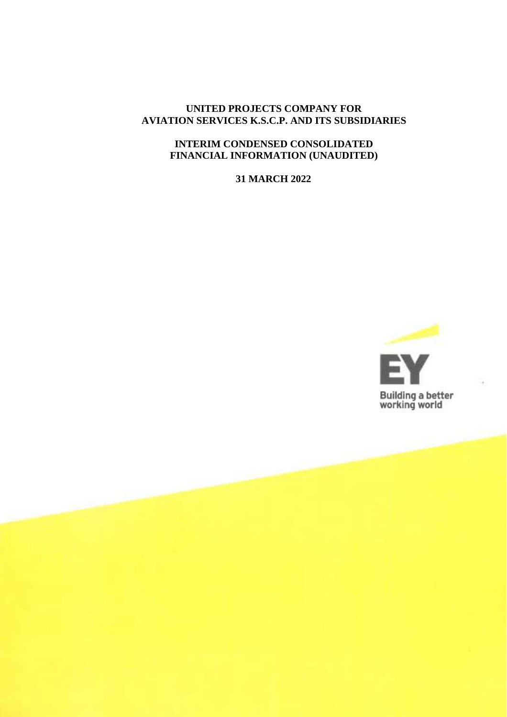## **UNITED PROJECTS COMPANY FOR AVIATION SERVICES K.S.C.P. AND ITS SUBSIDIARIES**

### **INTERIM CONDENSED CONSOLIDATED FINANCIAL INFORMATION (UNAUDITED)**

**31 MARCH 2022**

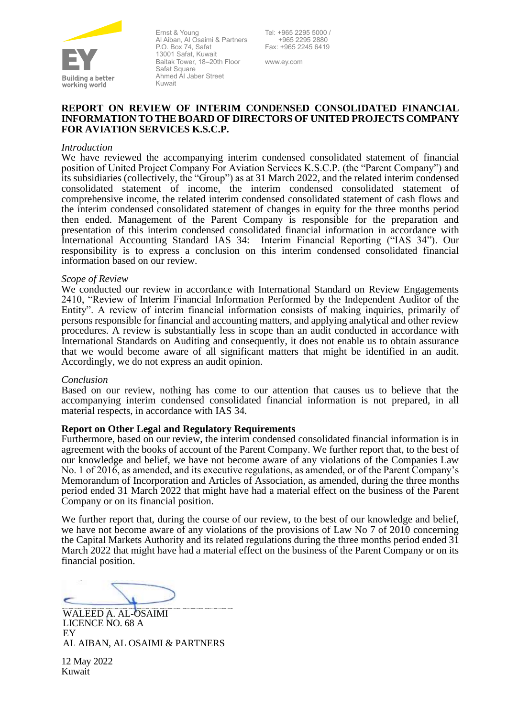

Ernst & Young Al Aiban, Al Osaimi & Partners P.O. Box 74, Safat 13001 Safat, Kuwait Baitak Tower, 18–20th Floor Safat Square Ahmed Al Jaber Street Kuwait

www.ey.com

#### **REPORT ON REVIEW OF INTERIM CONDENSED CONSOLIDATED FINANCIAL INFORMATION TO THE BOARD OF DIRECTORS OF UNITED PROJECTS COMPANY FOR AVIATION SERVICES K.S.C.P.**

#### *Introduction*

We have reviewed the accompanying interim condensed consolidated statement of financial position of United Project Company For Aviation Services K.S.C.P. (the "Parent Company") and its subsidiaries (collectively, the "Group") as at 31 March 2022, and the related interim condensed consolidated statement of income, the interim condensed consolidated statement of comprehensive income, the related interim condensed consolidated statement of cash flows and the interim condensed consolidated statement of changes in equity for the three months period then ended. Management of the Parent Company is responsible for the preparation and presentation of this interim condensed consolidated financial information in accordance with International Accounting Standard IAS 34: Interim Financial Reporting ("IAS 34"). Our responsibility is to express a conclusion on this interim condensed consolidated financial information based on our review.

#### *Scope of Review*

We conducted our review in accordance with International Standard on Review Engagements 2410, "Review of Interim Financial Information Performed by the Independent Auditor of the Entity". A review of interim financial information consists of making inquiries, primarily of persons responsible for financial and accounting matters, and applying analytical and other review procedures. A review is substantially less in scope than an audit conducted in accordance with International Standards on Auditing and consequently, it does not enable us to obtain assurance that we would become aware of all significant matters that might be identified in an audit. Accordingly, we do not express an audit opinion.

#### *Conclusion*

Based on our review, nothing has come to our attention that causes us to believe that the accompanying interim condensed consolidated financial information is not prepared, in all material respects, in accordance with IAS 34.

#### **Report on Other Legal and Regulatory Requirements**

Furthermore, based on our review, the interim condensed consolidated financial information is in agreement with the books of account of the Parent Company. We further report that, to the best of our knowledge and belief, we have not become aware of any violations of the Companies Law No. 1 of 2016, as amended, and its executive regulations, as amended, or of the Parent Company's Memorandum of Incorporation and Articles of Association, as amended, during the three months period ended 31 March 2022 that might have had a material effect on the business of the Parent Company or on its financial position.

We further report that, during the course of our review, to the best of our knowledge and belief, we have not become aware of any violations of the provisions of Law No 7 of 2010 concerning the Capital Markets Authority and its related regulations during the three months period ended 31 March 2022 that might have had a material effect on the business of the Parent Company or on its financial position.

WALEED A. AL-OSAIMI LICENCE NO. 68 A EY AL AIBAN, AL OSAIMI & PARTNERS

12 May 2022 Kuwait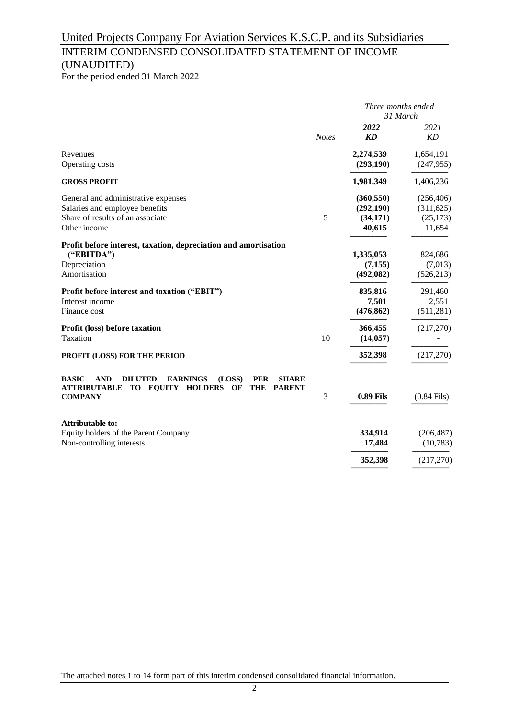## United Projects Company For Aviation Services K.S.C.P. and its Subsidiaries INTERIM CONDENSED CONSOLIDATED STATEMENT OF INCOME (UNAUDITED)

For the period ended 31 March 2022

|                                                                                                                                                                                                            | Three months ended<br>31 March |                                                 |                                                 |  |
|------------------------------------------------------------------------------------------------------------------------------------------------------------------------------------------------------------|--------------------------------|-------------------------------------------------|-------------------------------------------------|--|
|                                                                                                                                                                                                            | <b>Notes</b>                   | 2022<br><b>KD</b>                               | 2021<br>KD                                      |  |
| Revenues<br>Operating costs                                                                                                                                                                                |                                | 2,274,539<br>(293, 190)                         | 1,654,191<br>(247, 955)                         |  |
| <b>GROSS PROFIT</b>                                                                                                                                                                                        |                                | 1,981,349                                       | 1,406,236                                       |  |
| General and administrative expenses<br>Salaries and employee benefits<br>Share of results of an associate<br>Other income                                                                                  | 5                              | (360, 550)<br>(292, 190)<br>(34, 171)<br>40,615 | (256, 406)<br>(311, 625)<br>(25, 173)<br>11,654 |  |
| Profit before interest, taxation, depreciation and amortisation<br>("EBITDA")<br>Depreciation<br>Amortisation                                                                                              |                                | 1,335,053<br>(7, 155)<br>(492, 082)             | 824,686<br>(7,013)<br>(526, 213)                |  |
| Profit before interest and taxation ("EBIT")<br>Interest income<br>Finance cost                                                                                                                            |                                | 835,816<br>7,501<br>(476, 862)                  | 291,460<br>2,551<br>(511, 281)                  |  |
| Profit (loss) before taxation<br>Taxation                                                                                                                                                                  | 10                             | 366,455<br>(14, 057)                            | (217,270)                                       |  |
| PROFIT (LOSS) FOR THE PERIOD                                                                                                                                                                               |                                | 352,398                                         | (217,270)                                       |  |
| <b>BASIC</b><br><b>AND</b><br><b>EARNINGS</b><br>(LOSS)<br><b>DILUTED</b><br><b>PER</b><br><b>SHARE</b><br>TO EQUITY HOLDERS<br><b>ATTRIBUTABLE</b><br><b>THE</b><br><b>PARENT</b><br>OF<br><b>COMPANY</b> | 3                              | <b>0.89 Fils</b>                                | $(0.84$ Fils)                                   |  |
| <b>Attributable to:</b><br>Equity holders of the Parent Company<br>Non-controlling interests                                                                                                               |                                | 334,914<br>17,484                               | (206, 487)<br>(10, 783)                         |  |
|                                                                                                                                                                                                            |                                | 352,398                                         | (217,270)                                       |  |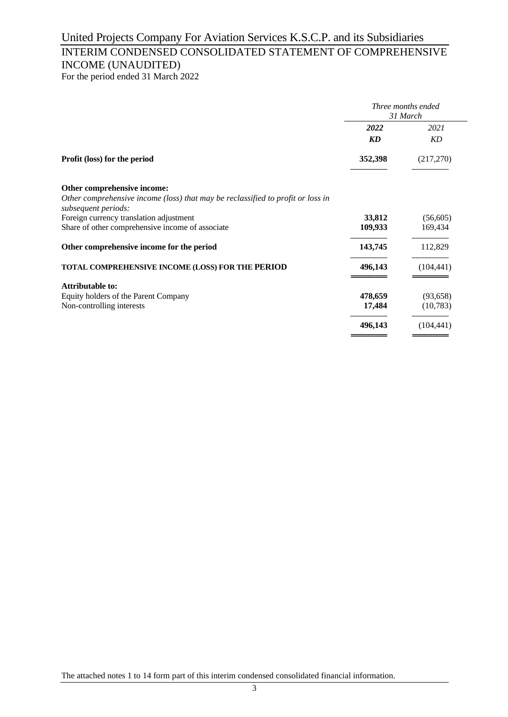# United Projects Company For Aviation Services K.S.C.P. and its Subsidiaries

## INTERIM CONDENSED CONSOLIDATED STATEMENT OF COMPREHENSIVE INCOME (UNAUDITED)

For the period ended 31 March 2022

|                                                                                                        | Three months ended<br>31 March |            |  |
|--------------------------------------------------------------------------------------------------------|--------------------------------|------------|--|
|                                                                                                        | 2022                           | 2021       |  |
|                                                                                                        | KD                             | KD         |  |
| Profit (loss) for the period                                                                           | 352,398                        | (217,270)  |  |
| Other comprehensive income:                                                                            |                                |            |  |
| Other comprehensive income (loss) that may be reclassified to profit or loss in<br>subsequent periods: |                                |            |  |
| Foreign currency translation adjustment                                                                | 33,812                         | (56,605)   |  |
| Share of other comprehensive income of associate                                                       | 109,933                        | 169,434    |  |
| Other comprehensive income for the period                                                              | 143,745                        | 112,829    |  |
| <b>TOTAL COMPREHENSIVE INCOME (LOSS) FOR THE PERIOD</b>                                                | 496,143                        | (104, 441) |  |
| <b>Attributable to:</b>                                                                                |                                |            |  |
| Equity holders of the Parent Company                                                                   | 478,659                        | (93, 658)  |  |
| Non-controlling interests                                                                              | 17,484                         | (10,783)   |  |
|                                                                                                        | 496,143                        | (104, 441) |  |

The attached notes 1 to 14 form part of this interim condensed consolidated financial information.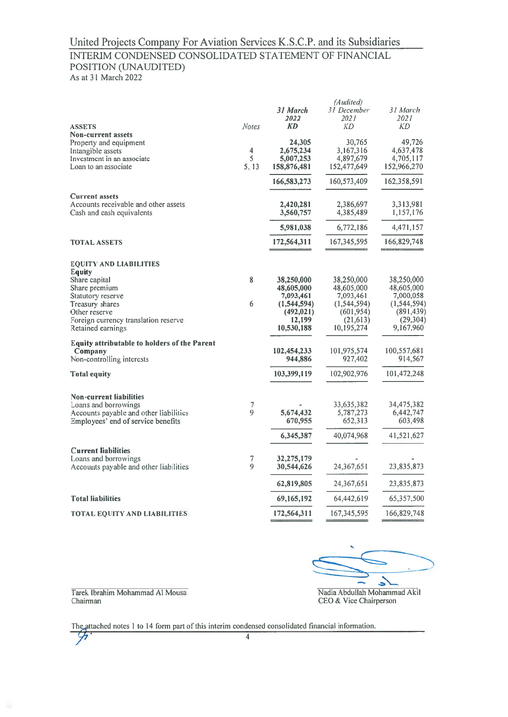## United Projects Company For Aviation Services K.S.C.P. and its Subsidiaries INTERIM CONDENSED CONSOLIDATED STATEMENT OF FINANCIAL POSITION (UNAUDITED)

As at 31 March 2022

| <b>Notes</b><br>$\overline{4}$<br>5<br>5, 13 | 31 March<br>2022<br><b>KD</b><br>24,305<br>2,675,234<br>5,007,253<br>158,876,481<br>166,583,273 | 31 December<br>2021<br>КD<br>30,765<br>3,167,316<br>4,897,679<br>152,477,649<br>160,573,409     | 31 March<br>2021<br>КD<br>49,726<br>4,637,478<br>4,705,117<br>152,966,270<br>162,358,591      |
|----------------------------------------------|-------------------------------------------------------------------------------------------------|-------------------------------------------------------------------------------------------------|-----------------------------------------------------------------------------------------------|
|                                              | 2,420,281<br>3,560,757                                                                          | 2,386,697<br>4,385,489                                                                          | 3,313,981<br>1,157,176                                                                        |
|                                              | 172,564,311                                                                                     | 167, 345, 595                                                                                   | 4,471,157<br>166,829,748                                                                      |
| 8<br>6                                       | 38,250,000<br>48,605,000<br>7,093,461<br>(1, 544, 594)<br>(492, 021)<br>12,199<br>10,530,188    | 38,250,000<br>48,605,000<br>7,093,461<br>(1, 544, 594)<br>(601, 954)<br>(21, 613)<br>10,195,274 | 38,250,000<br>48,605,000<br>7,000,058<br>(1, 544, 594)<br>(891, 439)<br>(29,304)<br>9,167,960 |
|                                              | 102,454,233<br>944,886                                                                          | 101,975,574<br>927,402                                                                          | 100,557,681<br>914,567                                                                        |
|                                              | 103,399,119                                                                                     | 102,902,976                                                                                     | 101,472,248                                                                                   |
| $\overline{7}$<br>$\mathbf Q$                | 5,674,432<br>670,955<br>6,345,387                                                               | 33,635,382<br>5,787,273<br>652,313<br>40,074,968                                                | 34,475,382<br>6,442,747<br>603,498<br>41,521,627                                              |
| 7<br>9                                       | 32,275,179<br>30,544,626                                                                        | 24,367,651                                                                                      | 23,835,873                                                                                    |
|                                              | 62,819,805                                                                                      | 24,367,651                                                                                      | 23,835,873                                                                                    |
|                                              | 69,165,192                                                                                      | 64,442,619                                                                                      | 65,357,500                                                                                    |
|                                              | 172,564,311                                                                                     | 167,345,595                                                                                     | 166,829,748                                                                                   |
|                                              |                                                                                                 | 5,981,038                                                                                       | (Audited)<br>6,772,186                                                                        |

2

Nadia Abdullah Mohammad Akil CEO & Vice Chairperson

Tarek Ibrahim Mohammad Al Mousa Chairman

The attached notes 1 to 14 form part of this interim condensed consolidated financial information. फ्र

 $\overline{4}$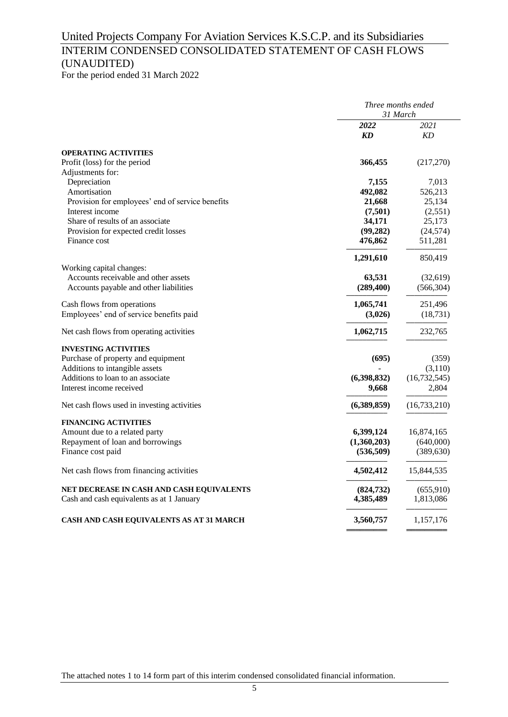## United Projects Company For Aviation Services K.S.C.P. and its Subsidiaries

## INTERIM CONDENSED CONSOLIDATED STATEMENT OF CASH FLOWS (UNAUDITED)

For the period ended 31 March 2022

|                                                  |             | Three months ended<br>31 March |
|--------------------------------------------------|-------------|--------------------------------|
|                                                  | 2022<br>KD  | 2021<br>KD                     |
| <b>OPERATING ACTIVITIES</b>                      |             |                                |
| Profit (loss) for the period                     | 366,455     | (217,270)                      |
| Adjustments for:                                 |             |                                |
| Depreciation                                     | 7,155       | 7,013                          |
| Amortisation                                     | 492,082     | 526,213                        |
| Provision for employees' end of service benefits | 21,668      | 25,134                         |
| Interest income                                  | (7,501)     | (2,551)                        |
| Share of results of an associate                 | 34,171      | 25,173                         |
| Provision for expected credit losses             | (99, 282)   | (24, 574)                      |
| Finance cost                                     | 476,862     | 511,281                        |
|                                                  | 1,291,610   | 850,419                        |
| Working capital changes:                         |             |                                |
| Accounts receivable and other assets             | 63,531      | (32,619)                       |
| Accounts payable and other liabilities           | (289, 400)  | (566, 304)                     |
| Cash flows from operations                       | 1,065,741   | 251,496                        |
| Employees' end of service benefits paid          | (3,026)     | (18, 731)                      |
| Net cash flows from operating activities         | 1,062,715   | 232,765                        |
| <b>INVESTING ACTIVITIES</b>                      |             |                                |
| Purchase of property and equipment               | (695)       | (359)                          |
| Additions to intangible assets                   |             | (3,110)                        |
| Additions to loan to an associate                | (6,398,832) | (16, 732, 545)                 |
| Interest income received                         | 9,668       | 2,804                          |
| Net cash flows used in investing activities      | (6,389,859) | (16, 733, 210)                 |
| <b>FINANCING ACTIVITIES</b>                      |             |                                |
| Amount due to a related party                    | 6,399,124   | 16,874,165                     |
| Repayment of loan and borrowings                 | (1,360,203) | (640,000)                      |
| Finance cost paid                                | (536,509)   | (389, 630)                     |
| Net cash flows from financing activities         | 4,502,412   | 15,844,535                     |
| NET DECREASE IN CASH AND CASH EQUIVALENTS        | (824, 732)  | (655,910)                      |
| Cash and cash equivalents as at 1 January        | 4,385,489   | 1,813,086                      |
| CASH AND CASH EQUIVALENTS AS AT 31 MARCH         | 3,560,757   | 1,157,176                      |
|                                                  |             |                                |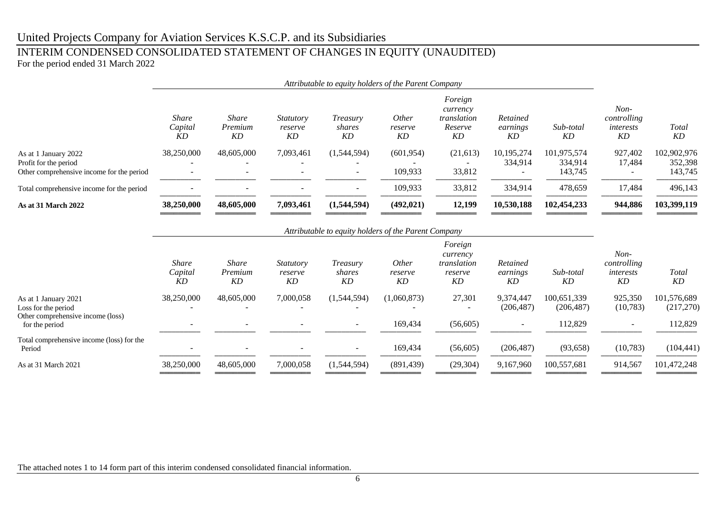## United Projects Company for Aviation Services K.S.C.P. and its Subsidiaries

## INTERIM CONDENSED CONSOLIDATED STATEMENT OF CHANGES IN EQUITY (UNAUDITED) For the period ended 31 March 2022

|                                                                                            | Attributable to equity holders of the Parent Company |                               |                                   |                                                      |                               |                                                     |                            |                                   |                                          |                                   |
|--------------------------------------------------------------------------------------------|------------------------------------------------------|-------------------------------|-----------------------------------|------------------------------------------------------|-------------------------------|-----------------------------------------------------|----------------------------|-----------------------------------|------------------------------------------|-----------------------------------|
|                                                                                            | Share<br>Capital<br>KD                               | <i>Share</i><br>Premium<br>KD | <i>Statutory</i><br>reserve<br>KD | Treasury<br>shares<br>KD                             | <i>Other</i><br>reserve<br>KD | Foreign<br>currency<br>translation<br>Reserve<br>KD | Retained<br>earnings<br>KD | Sub-total<br>KD                   | $Non-$<br>controlling<br>interests<br>KD | <b>Total</b><br>KD                |
| As at 1 January 2022<br>Profit for the period<br>Other comprehensive income for the period | 38,250,000                                           | 48,605,000                    | 7,093,461                         | (1,544,594)                                          | (601, 954)<br>109,933         | (21, 613)<br>33,812                                 | 10,195,274<br>334,914      | 101,975,574<br>334,914<br>143,745 | 927,402<br>17,484                        | 102,902,976<br>352,398<br>143,745 |
| Total comprehensive income for the period                                                  |                                                      |                               |                                   | $\overline{\phantom{a}}$                             | 109,933                       | 33,812                                              | 334,914                    | 478,659                           | 17,484                                   | 496,143                           |
| <b>As at 31 March 2022</b>                                                                 | 38,250,000                                           | 48,605,000                    | 7,093,461                         | (1,544,594)                                          | (492, 021)                    | 12,199                                              | 10,530,188                 | 102,454,233                       | 944,886                                  | 103,399,119                       |
|                                                                                            |                                                      |                               |                                   | Attributable to equity holders of the Parent Company |                               |                                                     |                            |                                   |                                          |                                   |

|                                                     | <b>Share</b><br>Capital<br>KD | Share<br>Premium<br>KD | <i>Statutory</i><br>reserve<br>KD | Treasury<br>shares<br>KD | <i>Other</i><br>reserve<br>KD | Foreign<br>currency<br>translation<br>reserve<br>KD | Retained<br>earnings<br>KD | Sub-total<br>KD | $Non-$<br>controlling<br>interests<br>KD | Total<br>KD |
|-----------------------------------------------------|-------------------------------|------------------------|-----------------------------------|--------------------------|-------------------------------|-----------------------------------------------------|----------------------------|-----------------|------------------------------------------|-------------|
| As at 1 January 2021                                | 38,250,000                    | 48,605,000             | 7,000,058                         | (1,544,594)              | (1,060,873)                   | 27,301                                              | 9,374,447                  | 100,651,339     | 925,350                                  | 101,576,689 |
| Loss for the period                                 |                               |                        |                                   |                          |                               |                                                     | (206, 487)                 | (206, 487)      | (10, 783)                                | (217,270)   |
| Other comprehensive income (loss)<br>for the period |                               |                        |                                   | $\overline{\phantom{0}}$ | 169,434                       | (56, 605)                                           | $\overline{\phantom{0}}$   | 112,829         | $\overline{\phantom{0}}$                 | 112,829     |
| Total comprehensive income (loss) for the<br>Period |                               |                        |                                   | $\overline{\phantom{0}}$ | 169,434                       | (56, 605)                                           | (206, 487)                 | (93, 658)       | (10, 783)                                | (104, 441)  |
| As at 31 March 2021                                 | 38,250,000                    | 48,605,000             | 7,000,058                         | (1,544,594)              | (891, 439)                    | (29, 304)                                           | 9,167,960                  | 100,557,681     | 914,567                                  | 101,472,248 |
|                                                     |                               |                        |                                   |                          |                               |                                                     |                            |                 |                                          |             |

The attached notes 1 to 14 form part of this interim condensed consolidated financial information.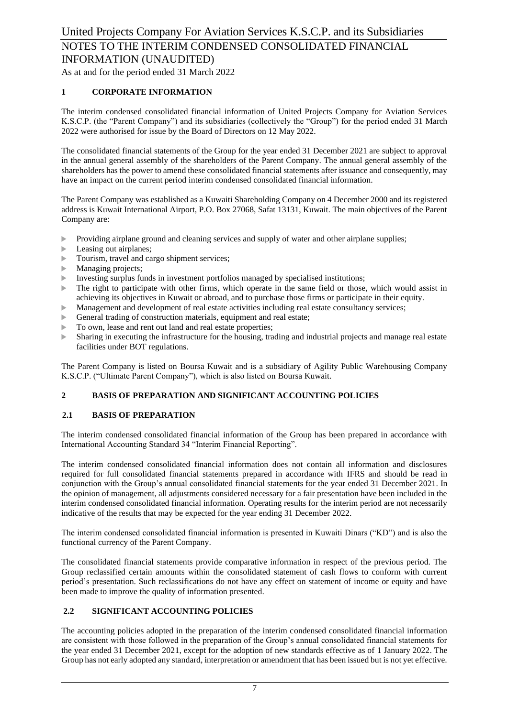As at and for the period ended 31 March 2022

### **1 CORPORATE INFORMATION**

The interim condensed consolidated financial information of United Projects Company for Aviation Services K.S.C.P. (the "Parent Company") and its subsidiaries (collectively the "Group") for the period ended 31 March 2022 were authorised for issue by the Board of Directors on 12 May 2022.

The consolidated financial statements of the Group for the year ended 31 December 2021 are subject to approval in the annual general assembly of the shareholders of the Parent Company. The annual general assembly of the shareholders has the power to amend these consolidated financial statements after issuance and consequently, may have an impact on the current period interim condensed consolidated financial information.

The Parent Company was established as a Kuwaiti Shareholding Company on 4 December 2000 and its registered address is Kuwait International Airport, P.O. Box 27068, Safat 13131, Kuwait. The main objectives of the Parent Company are:

- Providing airplane ground and cleaning services and supply of water and other airplane supplies;
- Leasing out airplanes;
- Tourism, travel and cargo shipment services;
- **Managing projects;**
- Investing surplus funds in investment portfolios managed by specialised institutions;
- $\blacktriangleright$  The right to participate with other firms, which operate in the same field or those, which would assist in achieving its objectives in Kuwait or abroad, and to purchase those firms or participate in their equity.
- Management and development of real estate activities including real estate consultancy services;
- General trading of construction materials, equipment and real estate;
- $\triangleright$  To own, lease and rent out land and real estate properties;
- Sharing in executing the infrastructure for the housing, trading and industrial projects and manage real estate facilities under BOT regulations.

The Parent Company is listed on Boursa Kuwait and is a subsidiary of Agility Public Warehousing Company K.S.C.P. ("Ultimate Parent Company"), which is also listed on Boursa Kuwait.

#### **2 BASIS OF PREPARATION AND SIGNIFICANT ACCOUNTING POLICIES**

#### **2.1 BASIS OF PREPARATION**

The interim condensed consolidated financial information of the Group has been prepared in accordance with International Accounting Standard 34 "Interim Financial Reporting".

The interim condensed consolidated financial information does not contain all information and disclosures required for full consolidated financial statements prepared in accordance with IFRS and should be read in conjunction with the Group's annual consolidated financial statements for the year ended 31 December 2021. In the opinion of management, all adjustments considered necessary for a fair presentation have been included in the interim condensed consolidated financial information. Operating results for the interim period are not necessarily indicative of the results that may be expected for the year ending 31 December 2022.

The interim condensed consolidated financial information is presented in Kuwaiti Dinars ("KD") and is also the functional currency of the Parent Company.

The consolidated financial statements provide comparative information in respect of the previous period. The Group reclassified certain amounts within the consolidated statement of cash flows to conform with current period's presentation. Such reclassifications do not have any effect on statement of income or equity and have been made to improve the quality of information presented.

### **2.2 SIGNIFICANT ACCOUNTING POLICIES**

The accounting policies adopted in the preparation of the interim condensed consolidated financial information are consistent with those followed in the preparation of the Group's annual consolidated financial statements for the year ended 31 December 2021, except for the adoption of new standards effective as of 1 January 2022. The Group has not early adopted any standard, interpretation or amendment that has been issued but is not yet effective.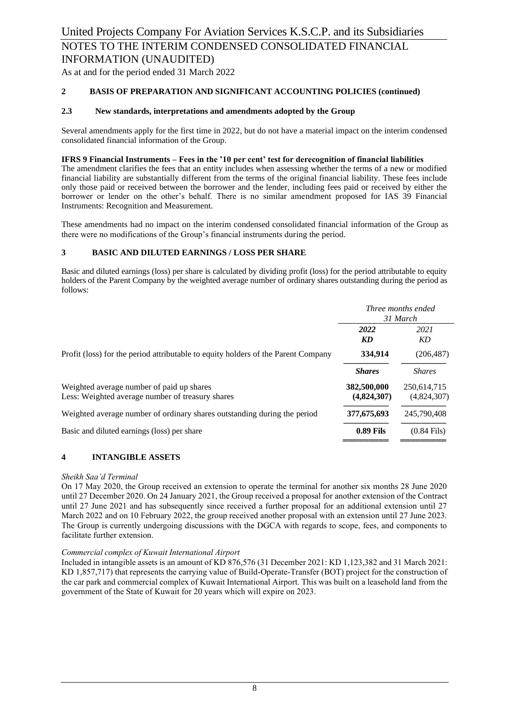As at and for the period ended 31 March 2022

#### **2 BASIS OF PREPARATION AND SIGNIFICANT ACCOUNTING POLICIES (continued)**

#### **2.3 New standards, interpretations and amendments adopted by the Group**

Several amendments apply for the first time in 2022, but do not have a material impact on the interim condensed consolidated financial information of the Group.

#### **IFRS 9 Financial Instruments – Fees in the '10 per cent' test for derecognition of financial liabilities**

The amendment clarifies the fees that an entity includes when assessing whether the terms of a new or modified financial liability are substantially different from the terms of the original financial liability. These fees include only those paid or received between the borrower and the lender, including fees paid or received by either the borrower or lender on the other's behalf. There is no similar amendment proposed for IAS 39 Financial Instruments: Recognition and Measurement.

These amendments had no impact on the interim condensed consolidated financial information of the Group as there were no modifications of the Group's financial instruments during the period.

#### **3 BASIC AND DILUTED EARNINGS / LOSS PER SHARE**

Basic and diluted earnings (loss) per share is calculated by dividing profit (loss) for the period attributable to equity holders of the Parent Company by the weighted average number of ordinary shares outstanding during the period as follows:

|                                                                                               | Three months ended<br>31 March |                            |
|-----------------------------------------------------------------------------------------------|--------------------------------|----------------------------|
|                                                                                               | 2022<br>KD                     | 2021<br>KD                 |
| Profit (loss) for the period attributable to equity holders of the Parent Company             | 334,914                        | (206, 487)                 |
|                                                                                               | <b>Shares</b>                  | <b>Shares</b>              |
| Weighted average number of paid up shares<br>Less: Weighted average number of treasury shares | 382,500,000<br>(4,824,307)     | 250,614,715<br>(4,824,307) |
| Weighted average number of ordinary shares outstanding during the period                      | 377,675,693                    | 245,790,408                |
| Basic and diluted earnings (loss) per share                                                   | <b>0.89 Fils</b>               | $(0.84$ Fils)              |

#### **4 INTANGIBLE ASSETS**

#### *Sheikh Saa'd Terminal*

On 17 May 2020, the Group received an extension to operate the terminal for another six months 28 June 2020 until 27 December 2020. On 24 January 2021, the Group received a proposal for another extension of the Contract until 27 June 2021 and has subsequently since received a further proposal for an additional extension until 27 March 2022 and on 10 February 2022, the group received another proposal with an extension until 27 June 2023. The Group is currently undergoing discussions with the DGCA with regards to scope, fees, and components to facilitate further extension.

#### *Commercial complex of Kuwait International Airport*

Included in intangible assets is an amount of KD 876,576 (31 December 2021: KD 1,123,382 and 31 March 2021: KD 1,857,717) that represents the carrying value of Build-Operate-Transfer (BOT) project for the construction of the car park and commercial complex of Kuwait International Airport. This was built on a leasehold land from the government of the State of Kuwait for 20 years which will expire on 2023.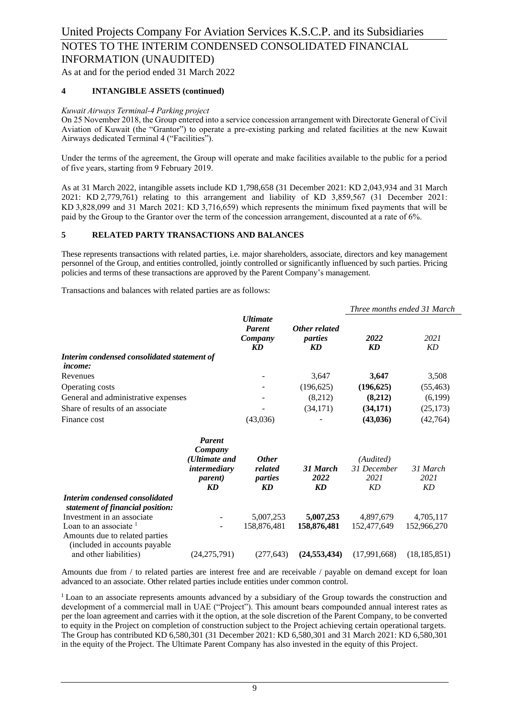As at and for the period ended 31 March 2022

### **4 INTANGIBLE ASSETS (continued)**

#### *Kuwait Airways Terminal-4 Parking project*

On 25 November 2018, the Group entered into a service concession arrangement with Directorate General of Civil Aviation of Kuwait (the "Grantor") to operate a pre-existing parking and related facilities at the new Kuwait Airways dedicated Terminal 4 ("Facilities").

Under the terms of the agreement, the Group will operate and make facilities available to the public for a period of five years, starting from 9 February 2019.

As at 31 March 2022, intangible assets include KD 1,798,658 (31 December 2021: KD 2,043,934 and 31 March 2021: KD 2,779,761) relating to this arrangement and liability of KD 3,859,567 (31 December 2021: KD 3,828,099 and 31 March 2021: KD 3,716,659) which represents the minimum fixed payments that will be paid by the Group to the Grantor over the term of the concession arrangement, discounted at a rate of 6%.

#### **5 RELATED PARTY TRANSACTIONS AND BALANCES**

These represents transactions with related parties, i.e. major shareholders, associate, directors and key management personnel of the Group, and entities controlled, jointly controlled or significantly influenced by such parties. Pricing policies and terms of these transactions are approved by the Parent Company's management.

Transactions and balances with related parties are as follows:

|                                             | <b><i><u>Ultimate</u></i></b><br><b>Parent</b><br>Company<br>KD |                                |            | Three months ended 31 March |  |
|---------------------------------------------|-----------------------------------------------------------------|--------------------------------|------------|-----------------------------|--|
|                                             |                                                                 | Other related<br>parties<br>KD | 2022<br>KD | 2021<br>KD                  |  |
| Interim condensed consolidated statement of |                                                                 |                                |            |                             |  |
| <i>income:</i>                              |                                                                 |                                |            |                             |  |
| Revenues                                    |                                                                 | 3,647                          | 3.647      | 3,508                       |  |
| Operating costs                             |                                                                 | (196, 625)                     | (196, 625) | (55, 463)                   |  |
| General and administrative expenses         |                                                                 | (8,212)                        | (8,212)    | (6,199)                     |  |
| Share of results of an associate            |                                                                 | (34,171)                       | (34,171)   | (25, 173)                   |  |
| Finance cost                                | (43,036)                                                        |                                | (43, 036)  | (42,764)                    |  |

|                                                                                                      | <b>Parent</b><br>Company<br>(Ultimate and<br><i>intermediary</i><br><i>parent</i> )<br>KD | <b>Other</b><br>related<br>parties<br>KD | 31 March<br>2022<br>KD | (Audited)<br>31 December<br>2021<br>KD | 31 March<br>2021<br>KD |
|------------------------------------------------------------------------------------------------------|-------------------------------------------------------------------------------------------|------------------------------------------|------------------------|----------------------------------------|------------------------|
| Interim condensed consolidated<br>statement of financial position:                                   |                                                                                           |                                          |                        |                                        |                        |
| Investment in an associate                                                                           |                                                                                           | 5,007,253                                | 5,007,253              | 4,897,679                              | 4,705,117              |
| Loan to an associate $\frac{1}{1}$<br>Amounts due to related parties<br>included in accounts payable |                                                                                           | 158,876,481                              | 158,876,481            | 152,477,649                            | 152,966,270            |
| and other liabilities)                                                                               | (24,275,791)                                                                              | (277, 643)                               | (24, 553, 434)         | (17.991.668)                           | (18, 185, 851)         |

Amounts due from / to related parties are interest free and are receivable / payable on demand except for loan advanced to an associate. Other related parties include entities under common control.

<sup>1</sup> Loan to an associate represents amounts advanced by a subsidiary of the Group towards the construction and development of a commercial mall in UAE ("Project"). This amount bears compounded annual interest rates as per the loan agreement and carries with it the option, at the sole discretion of the Parent Company, to be converted to equity in the Project on completion of construction subject to the Project achieving certain operational targets. The Group has contributed KD 6,580,301 (31 December 2021: KD 6,580,301 and 31 March 2021: KD 6,580,301 in the equity of the Project. The Ultimate Parent Company has also invested in the equity of this Project.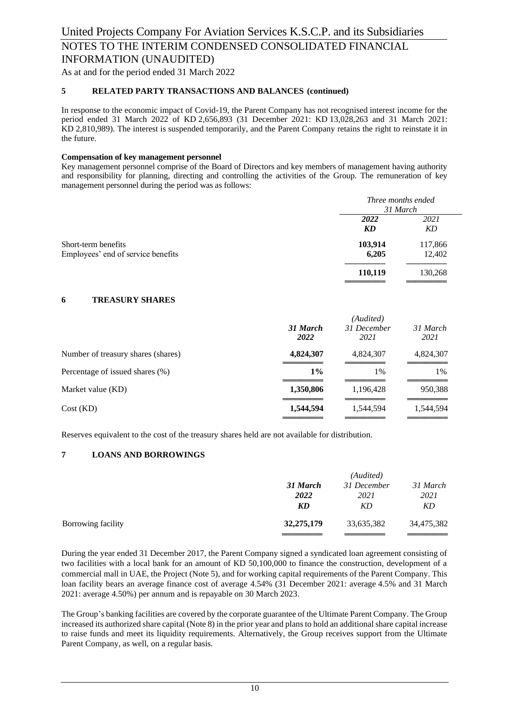As at and for the period ended 31 March 2022

#### **5 RELATED PARTY TRANSACTIONS AND BALANCES (continued)**

In response to the economic impact of Covid-19, the Parent Company has not recognised interest income for the period ended 31 March 2022 of KD 2,656,893 (31 December 2021: KD 13,028,263 and 31 March 2021: KD 2,810,989). The interest is suspended temporarily, and the Parent Company retains the right to reinstate it in the future.

#### **Compensation of key management personnel**

Key management personnel comprise of the Board of Directors and key members of management having authority and responsibility for planning, directing and controlling the activities of the Group. The remuneration of key management personnel during the period was as follows:

|                                                           |                  | Three months ended<br>31 March |
|-----------------------------------------------------------|------------------|--------------------------------|
|                                                           | 2022<br>KD       | 2021<br>KD                     |
| Short-term benefits<br>Employees' end of service benefits | 103,914<br>6,205 | 117,866<br>12,402              |
|                                                           | 110,119          | 130,268                        |

### **6 TREASURY SHARES**

| 31 March<br>2022 | 31 December<br>2021 | 31 March<br>2021 |
|------------------|---------------------|------------------|
| 4,824,307        | 4,824,307           | 4,824,307        |
| $1\%$            | 1%                  | 1%               |
| 1,350,806        | 1,196,428           | 950,388          |
| 1,544,594        | 1,544,594           | 1,544,594        |
|                  |                     | (Audited)        |

Reserves equivalent to the cost of the treasury shares held are not available for distribution.

### **7 LOANS AND BORROWINGS**

|                    |            | (Audited)   |            |  |  |
|--------------------|------------|-------------|------------|--|--|
|                    | 31 March   | 31 December | 31 March   |  |  |
|                    | 2022       | 2021        | 2021       |  |  |
|                    | KD         | KD          | KD         |  |  |
| Borrowing facility | 32,275,179 | 33,635,382  | 34,475,382 |  |  |
|                    |            |             |            |  |  |

During the year ended 31 December 2017, the Parent Company signed a syndicated loan agreement consisting of two facilities with a local bank for an amount of KD 50,100,000 to finance the construction, development of a commercial mall in UAE, the Project (Note 5), and for working capital requirements of the Parent Company. This loan facility bears an average finance cost of average 4.54% (31 December 2021: average 4.5% and 31 March 2021: average 4.50%) per annum and is repayable on 30 March 2023.

The Group's banking facilities are covered by the corporate guarantee of the Ultimate Parent Company. The Group increased its authorized share capital (Note 8) in the prior year and plans to hold an additionalshare capital increase to raise funds and meet its liquidity requirements. Alternatively, the Group receives support from the Ultimate Parent Company, as well, on a regular basis.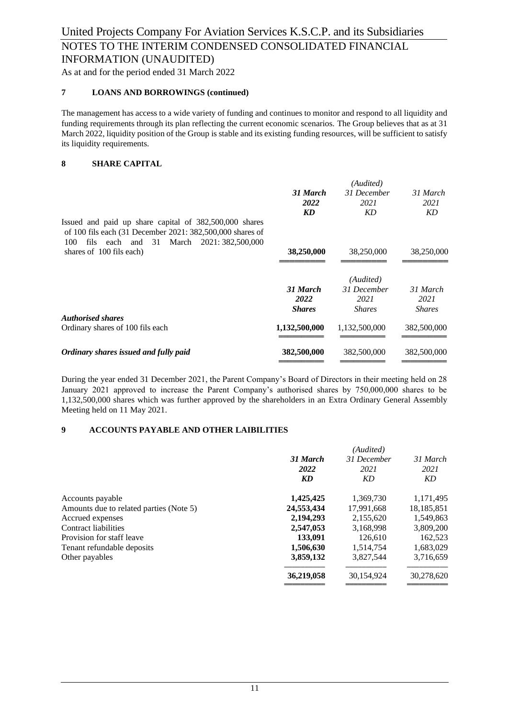As at and for the period ended 31 March 2022

### **7 LOANS AND BORROWINGS (continued)**

The management has access to a wide variety of funding and continues to monitor and respond to all liquidity and funding requirements through its plan reflecting the current economic scenarios. The Group believes that as at 31 March 2022, liquidity position of the Group is stable and its existing funding resources, will be sufficient to satisfy its liquidity requirements.

### **8 SHARE CAPITAL**

|                                                                                                                                                                        |               | (Audited)     |               |
|------------------------------------------------------------------------------------------------------------------------------------------------------------------------|---------------|---------------|---------------|
|                                                                                                                                                                        | 31 March      | 31 December   | 31 March      |
|                                                                                                                                                                        | 2022          | 2021          | 2021          |
|                                                                                                                                                                        | KD            | KD            | KD            |
| Issued and paid up share capital of 382,500,000 shares<br>of 100 fils each (31 December 2021: 382,500,000 shares of<br>100<br>fils each and 31 March 2021: 382,500,000 |               |               |               |
| shares of 100 fils each)                                                                                                                                               | 38,250,000    | 38,250,000    | 38,250,000    |
|                                                                                                                                                                        |               |               |               |
|                                                                                                                                                                        |               | (Audited)     |               |
|                                                                                                                                                                        | 31 March      | 31 December   | 31 March      |
|                                                                                                                                                                        | 2022          | 2021          | 2021          |
|                                                                                                                                                                        | <b>Shares</b> | <b>Shares</b> | <b>Shares</b> |
| <b>Authorised shares</b>                                                                                                                                               |               |               |               |
| Ordinary shares of 100 fils each                                                                                                                                       | 1,132,500,000 | 1,132,500,000 | 382,500,000   |
| Ordinary shares issued and fully paid                                                                                                                                  | 382,500,000   | 382,500,000   | 382,500,000   |
|                                                                                                                                                                        |               |               |               |

During the year ended 31 December 2021, the Parent Company's Board of Directors in their meeting held on 28 January 2021 approved to increase the Parent Company's authorised shares by 750,000,000 shares to be 1,132,500,000 shares which was further approved by the shareholders in an Extra Ordinary General Assembly Meeting held on 11 May 2021.

#### **9 ACCOUNTS PAYABLE AND OTHER LAIBILITIES**

| 31 March<br>2021<br>KD |
|------------------------|
| 1,171,495              |
| 18,185,851             |
| 1,549,863              |
| 3,809,200              |
| 162,523                |
| 1,683,029              |
| 3,716,659              |
| 30,278,620             |
|                        |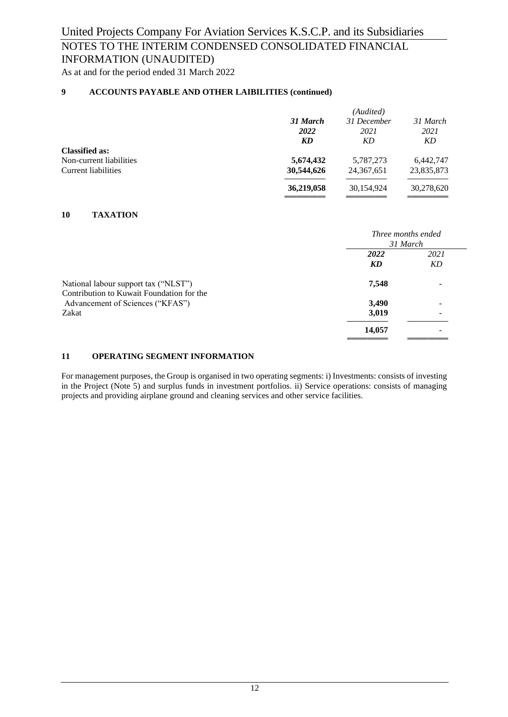## INFORMATION (UNAUDITED)

As at and for the period ended 31 March 2022

### **9 ACCOUNTS PAYABLE AND OTHER LAIBILITIES (continued)**

|                         |            | (Audited)    |            |
|-------------------------|------------|--------------|------------|
|                         | 31 March   | 31 December  | 31 March   |
|                         | 2022       | 2021         | 2021       |
|                         | KD         | KD           | KD         |
| <b>Classified as:</b>   |            |              |            |
| Non-current liabilities | 5,674,432  | 5,787,273    | 6,442,747  |
| Current liabilities     | 30,544,626 | 24, 367, 651 | 23,835,873 |
|                         | 36,219,058 | 30,154,924   | 30,278,620 |
|                         |            |              |            |

#### **10 TAXATION**

|                                           | <i>Three months ended</i> |      |  |
|-------------------------------------------|---------------------------|------|--|
|                                           | 31 March                  |      |  |
|                                           | 2022                      | 2021 |  |
|                                           | KD                        | KD   |  |
| National labour support tax ("NLST")      | 7,548                     | ٠    |  |
| Contribution to Kuwait Foundation for the |                           |      |  |
| Advancement of Sciences ("KFAS")          | 3,490                     | -    |  |
| Zakat                                     | 3,019                     |      |  |
|                                           | 14,057                    | ٠    |  |
|                                           |                           |      |  |

#### **11 OPERATING SEGMENT INFORMATION**

For management purposes, the Group is organised in two operating segments: i) Investments: consists of investing in the Project (Note 5) and surplus funds in investment portfolios. ii) Service operations: consists of managing projects and providing airplane ground and cleaning services and other service facilities.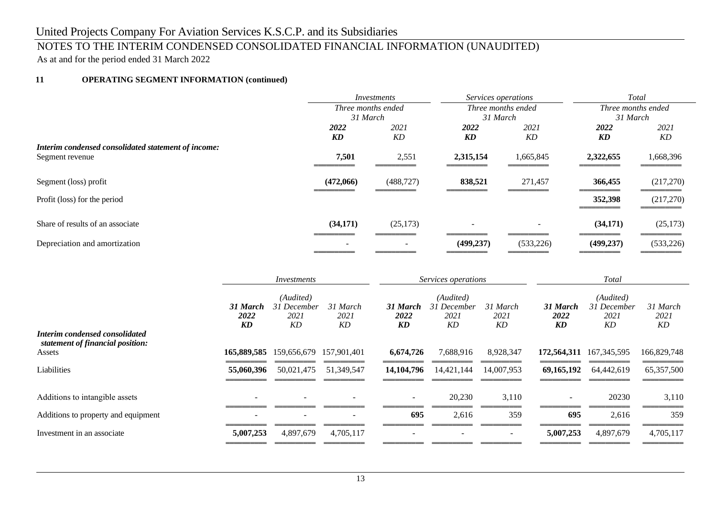# United Projects Company For Aviation Services K.S.C.P. and its Subsidiaries

## NOTES TO THE INTERIM CONDENSED CONSOLIDATED FINANCIAL INFORMATION (UNAUDITED)

As at and for the period ended 31 March 2022

### **11 OPERATING SEGMENT INFORMATION (continued)**

|                                                     | Investments              |            | Services operations      |           | <b>Total</b>       |            |
|-----------------------------------------------------|--------------------------|------------|--------------------------|-----------|--------------------|------------|
|                                                     | Three months ended       |            | Three months ended       |           | Three months ended |            |
|                                                     | 31 March                 |            | 31 March                 |           | 31 March           |            |
|                                                     | 2022                     | 2021       | 2022                     | 2021      | 2022               | 2021       |
|                                                     | KD                       | KD         | KD                       | KD        | KD                 | KD         |
| Interim condensed consolidated statement of income: |                          |            |                          |           |                    |            |
| Segment revenue                                     | 7,501                    | 2,551      | 2,315,154                | 1,665,845 | 2,322,655          | 1,668,396  |
|                                                     |                          |            |                          |           |                    |            |
| Segment (loss) profit                               | (472,066)                | (488, 727) | 838,521                  | 271,457   | 366,455            | (217,270)  |
| Profit (loss) for the period                        |                          |            |                          |           | 352,398            | (217,270)  |
|                                                     |                          |            |                          |           |                    |            |
| Share of results of an associate                    | (34,171)                 | (25, 173)  | $\overline{\phantom{0}}$ |           | (34,171)           | (25, 173)  |
| Depreciation and amortization                       | $\overline{\phantom{0}}$ |            | (499, 237)               | (533,226) | (499, 237)         | (533, 226) |

|                                                                              | Investments              |                                        | Services operations      |                          | Total                                  |                          |                        |                                        |                        |
|------------------------------------------------------------------------------|--------------------------|----------------------------------------|--------------------------|--------------------------|----------------------------------------|--------------------------|------------------------|----------------------------------------|------------------------|
|                                                                              | 31 March<br>2022<br>KD   | (Audited)<br>31 December<br>2021<br>KD | 31 March<br>2021<br>KD   | 31 March<br>2022<br>KD   | (Audited)<br>31 December<br>2021<br>KD | 31 March<br>2021<br>KD   | 31 March<br>2022<br>KD | (Audited)<br>31 December<br>2021<br>KD | 31 March<br>2021<br>KD |
| Interim condensed consolidated<br>statement of financial position:<br>Assets | 165,889,585              | 159,656,679                            | 157,901,401              | 6,674,726                | 7,688,916                              | 8,928,347                | 172,564,311            | 167, 345, 595                          | 166,829,748            |
| Liabilities                                                                  | 55,060,396               | 50,021,475                             | 51,349,547               | 14, 104, 796             | 14,421,144                             | 14,007,953               | 69,165,192             | 64,442,619                             | 65, 357, 500           |
| Additions to intangible assets                                               | $\overline{\phantom{0}}$ | $\overline{\phantom{a}}$               | $\overline{\phantom{a}}$ | $\sim$                   | 20,230                                 | 3,110                    | Ξ.                     | 20230                                  | 3,110                  |
| Additions to property and equipment                                          | $\overline{\phantom{0}}$ |                                        | $\overline{a}$           | 695                      | 2,616                                  | 359                      | 695                    | 2,616                                  | 359                    |
| Investment in an associate                                                   | 5,007,253                | 4,897,679                              | 4,705,117                | $\overline{\phantom{a}}$ | $\overline{\phantom{a}}$               | $\overline{\phantom{a}}$ | 5,007,253              | 4,897,679                              | 4,705,117              |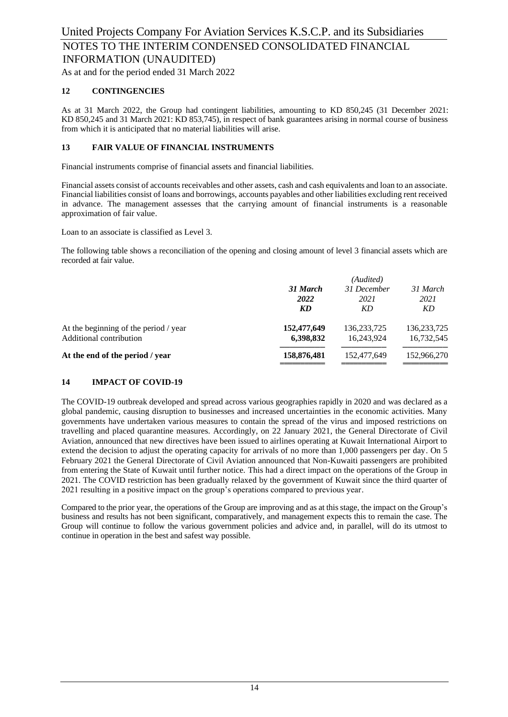As at and for the period ended 31 March 2022

### **12 CONTINGENCIES**

As at 31 March 2022, the Group had contingent liabilities, amounting to KD 850,245 (31 December 2021: KD 850,245 and 31 March 2021: KD 853,745), in respect of bank guarantees arising in normal course of business from which it is anticipated that no material liabilities will arise.

#### **13 FAIR VALUE OF FINANCIAL INSTRUMENTS**

Financial instruments comprise of financial assets and financial liabilities.

Financial assets consist of accounts receivables and other assets, cash and cash equivalents and loan to an associate. Financial liabilities consist of loans and borrowings, accounts payables and other liabilities excluding rent received in advance. The management assesses that the carrying amount of financial instruments is a reasonable approximation of fair value.

Loan to an associate is classified as Level 3.

The following table shows a reconciliation of the opening and closing amount of level 3 financial assets which are recorded at fair value.

|                                       | (Audited)        |                     |                  |  |  |
|---------------------------------------|------------------|---------------------|------------------|--|--|
|                                       | 31 March<br>2022 | 31 December<br>2021 | 31 March<br>2021 |  |  |
|                                       | KD               | KD                  | KD               |  |  |
| At the beginning of the period / year | 152,477,649      | 136, 233, 725       | 136, 233, 725    |  |  |
| Additional contribution               | 6,398,832        | 16.243.924          | 16,732,545       |  |  |
| At the end of the period / year       | 158,876,481      | 152,477,649         | 152,966,270      |  |  |
|                                       |                  |                     |                  |  |  |

### **14 IMPACT OF COVID-19**

The COVID-19 outbreak developed and spread across various geographies rapidly in 2020 and was declared as a global pandemic, causing disruption to businesses and increased uncertainties in the economic activities. Many governments have undertaken various measures to contain the spread of the virus and imposed restrictions on travelling and placed quarantine measures. Accordingly, on 22 January 2021, the General Directorate of Civil Aviation, announced that new directives have been issued to airlines operating at Kuwait International Airport to extend the decision to adjust the operating capacity for arrivals of no more than 1,000 passengers per day. On 5 February 2021 the General Directorate of Civil Aviation announced that Non-Kuwaiti passengers are prohibited from entering the State of Kuwait until further notice. This had a direct impact on the operations of the Group in 2021. The COVID restriction has been gradually relaxed by the government of Kuwait since the third quarter of 2021 resulting in a positive impact on the group's operations compared to previous year.

Compared to the prior year, the operations of the Group are improving and as at this stage, the impact on the Group's business and results has not been significant, comparatively, and management expects this to remain the case. The Group will continue to follow the various government policies and advice and, in parallel, will do its utmost to continue in operation in the best and safest way possible.